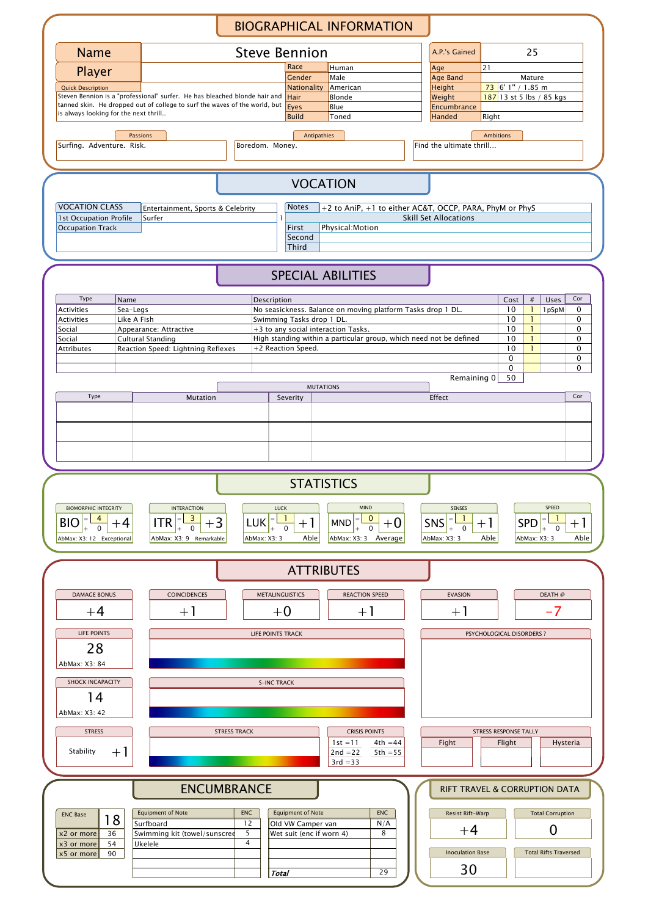